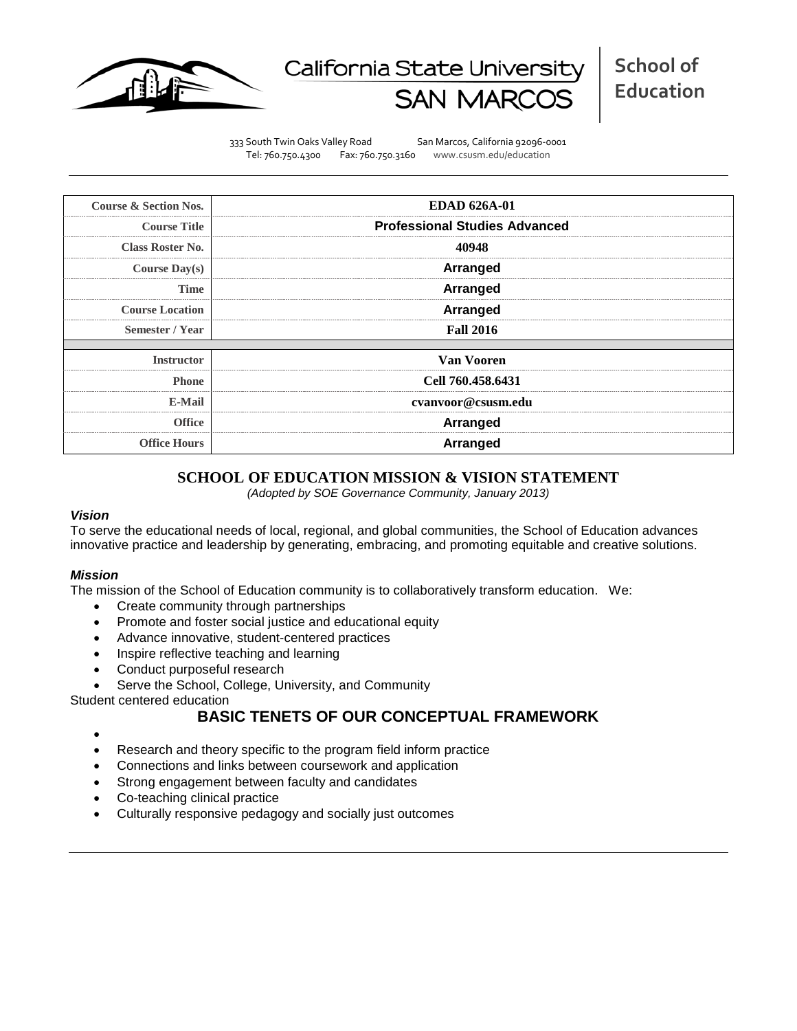

# California State Universit

333 South Twin Oaks Valley Road San Marcos, California 92096-0001 Tel: 760.750.4300 Fax: 760.750.3160 www.csusm.edu/education

| Course & Section Nos.   | <b>EDAD 626A-01</b>                  |  |  |  |  |
|-------------------------|--------------------------------------|--|--|--|--|
| <b>Course Title</b>     | <b>Professional Studies Advanced</b> |  |  |  |  |
| <b>Class Roster No.</b> | 40948                                |  |  |  |  |
| <b>Course Day(s)</b>    | <b>Arranged</b>                      |  |  |  |  |
| Time                    | <b>Arranged</b>                      |  |  |  |  |
| <b>Course Location</b>  | <b>Arranged</b>                      |  |  |  |  |
| Semester / Year         | <b>Fall 2016</b>                     |  |  |  |  |
| <b>Instructor</b>       | Van Vooren                           |  |  |  |  |
| <b>Phone</b>            | Cell 760.458.6431                    |  |  |  |  |
| E-Mail                  | cvanvoor@csusm.edu                   |  |  |  |  |
| Office                  | <b>Arranged</b>                      |  |  |  |  |
| <b>Office Hours</b>     | <b>Arranged</b>                      |  |  |  |  |

# **SCHOOL OF EDUCATION MISSION & VISION STATEMENT**

*(Adopted by SOE Governance Community, January 2013)*

#### *Vision*

To serve the educational needs of local, regional, and global communities, the School of Education advances innovative practice and leadership by generating, embracing, and promoting equitable and creative solutions.

#### *Mission*

The mission of the School of Education community is to collaboratively transform education. We:

- Create community through partnerships
- Promote and foster social justice and educational equity
- Advance innovative, student-centered practices
- Inspire reflective teaching and learning
- Conduct purposeful research
- Serve the School, College, University, and Community

Student centered education

# **BASIC TENETS OF OUR CONCEPTUAL FRAMEWORK**

- •
- Research and theory specific to the program field inform practice
- Connections and links between coursework and application
- Strong engagement between faculty and candidates
- Co-teaching clinical practice
- Culturally responsive pedagogy and socially just outcomes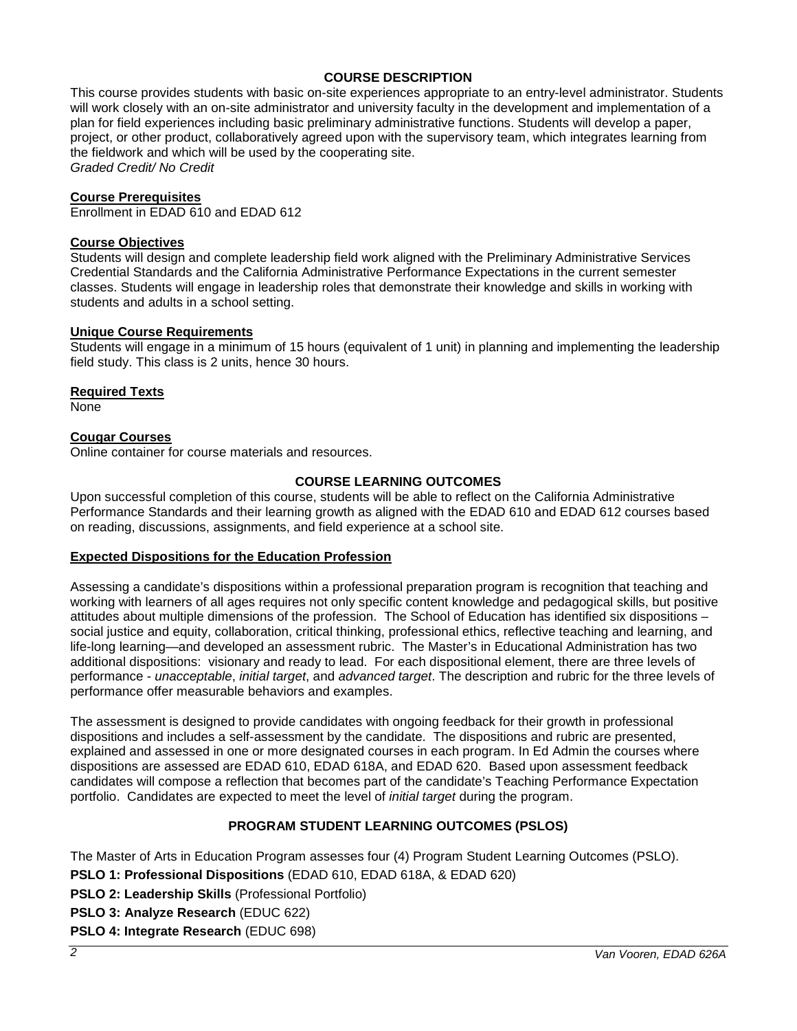# **COURSE DESCRIPTION**

This course provides students with basic on-site experiences appropriate to an entry-level administrator. Students will work closely with an on-site administrator and university faculty in the development and implementation of a plan for field experiences including basic preliminary administrative functions. Students will develop a paper, project, or other product, collaboratively agreed upon with the supervisory team, which integrates learning from the fieldwork and which will be used by the cooperating site. *Graded Credit/ No Credit*

### **Course Prerequisites**

Enrollment in EDAD 610 and EDAD 612

#### **Course Objectives**

Students will design and complete leadership field work aligned with the Preliminary Administrative Services Credential Standards and the California Administrative Performance Expectations in the current semester classes. Students will engage in leadership roles that demonstrate their knowledge and skills in working with students and adults in a school setting.

#### **Unique Course Requirements**

Students will engage in a minimum of 15 hours (equivalent of 1 unit) in planning and implementing the leadership field study. This class is 2 units, hence 30 hours.

#### **Required Texts**

None

# **Cougar Courses**

Online container for course materials and resources.

#### **COURSE LEARNING OUTCOMES**

Upon successful completion of this course, students will be able to reflect on the California Administrative Performance Standards and their learning growth as aligned with the EDAD 610 and EDAD 612 courses based on reading, discussions, assignments, and field experience at a school site.

#### **Expected Dispositions for the Education Profession**

Assessing a candidate's dispositions within a professional preparation program is recognition that teaching and working with learners of all ages requires not only specific content knowledge and pedagogical skills, but positive attitudes about multiple dimensions of the profession. The School of Education has identified six dispositions – social justice and equity, collaboration, critical thinking, professional ethics, reflective teaching and learning, and life-long learning—and developed an assessment rubric. The Master's in Educational Administration has two additional dispositions: visionary and ready to lead. For each dispositional element, there are three levels of performance - *unacceptable*, *initial target*, and *advanced target*. The description and rubric for the three levels of performance offer measurable behaviors and examples.

The assessment is designed to provide candidates with ongoing feedback for their growth in professional dispositions and includes a self-assessment by the candidate. The dispositions and rubric are presented, explained and assessed in one or more designated courses in each program. In Ed Admin the courses where dispositions are assessed are EDAD 610, EDAD 618A, and EDAD 620. Based upon assessment feedback candidates will compose a reflection that becomes part of the candidate's Teaching Performance Expectation portfolio. Candidates are expected to meet the level of *initial target* during the program.

# **PROGRAM STUDENT LEARNING OUTCOMES (PSLOS)**

The Master of Arts in Education Program assesses four (4) Program Student Learning Outcomes (PSLO).

**PSLO 1: Professional Dispositions** (EDAD 610, EDAD 618A, & EDAD 620)

**PSLO 2: Leadership Skills** (Professional Portfolio)

**PSLO 3: Analyze Research** (EDUC 622)

**PSLO 4: Integrate Research** (EDUC 698)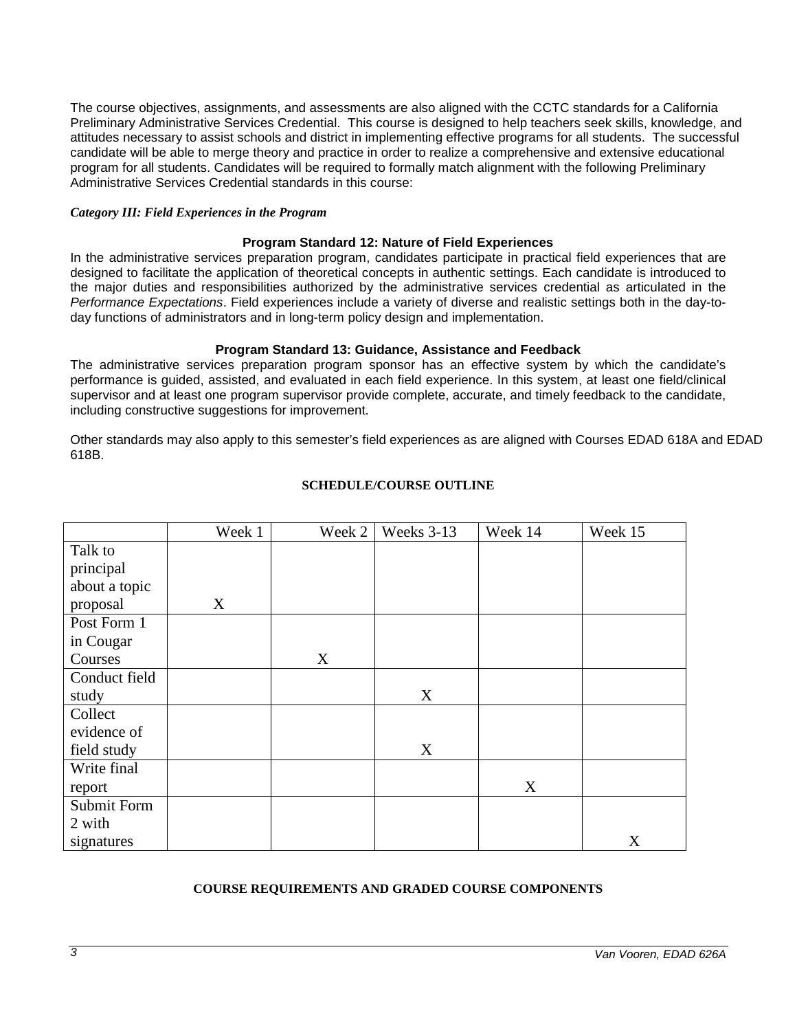The course objectives, assignments, and assessments are also aligned with the CCTC standards for a California Preliminary Administrative Services Credential. This course is designed to help teachers seek skills, knowledge, and attitudes necessary to assist schools and district in implementing effective programs for all students. The successful candidate will be able to merge theory and practice in order to realize a comprehensive and extensive educational program for all students. Candidates will be required to formally match alignment with the following Preliminary Administrative Services Credential standards in this course:

#### *Category III: Field Experiences in the Program*

#### **Program Standard 12: Nature of Field Experiences**

In the administrative services preparation program, candidates participate in practical field experiences that are designed to facilitate the application of theoretical concepts in authentic settings. Each candidate is introduced to the major duties and responsibilities authorized by the administrative services credential as articulated in the *Performance Expectations*. Field experiences include a variety of diverse and realistic settings both in the day-today functions of administrators and in long-term policy design and implementation.

#### **Program Standard 13: Guidance, Assistance and Feedback**

The administrative services preparation program sponsor has an effective system by which the candidate's performance is guided, assisted, and evaluated in each field experience. In this system, at least one field/clinical supervisor and at least one program supervisor provide complete, accurate, and timely feedback to the candidate, including constructive suggestions for improvement.

Other standards may also apply to this semester's field experiences as are aligned with Courses EDAD 618A and EDAD 618B.

|               | Week 1 | Week 2 | Weeks 3-13 | Week 14 | Week 15 |
|---------------|--------|--------|------------|---------|---------|
| Talk to       |        |        |            |         |         |
| principal     |        |        |            |         |         |
| about a topic |        |        |            |         |         |
| proposal      | X      |        |            |         |         |
| Post Form 1   |        |        |            |         |         |
| in Cougar     |        |        |            |         |         |
| Courses       |        | X      |            |         |         |
| Conduct field |        |        |            |         |         |
| study         |        |        | X          |         |         |
| Collect       |        |        |            |         |         |
| evidence of   |        |        |            |         |         |
| field study   |        |        | X          |         |         |
| Write final   |        |        |            |         |         |
| report        |        |        |            | X       |         |
| Submit Form   |        |        |            |         |         |
| 2 with        |        |        |            |         |         |
| signatures    |        |        |            |         | X       |

#### **SCHEDULE/COURSE OUTLINE**

#### **COURSE REQUIREMENTS AND GRADED COURSE COMPONENTS**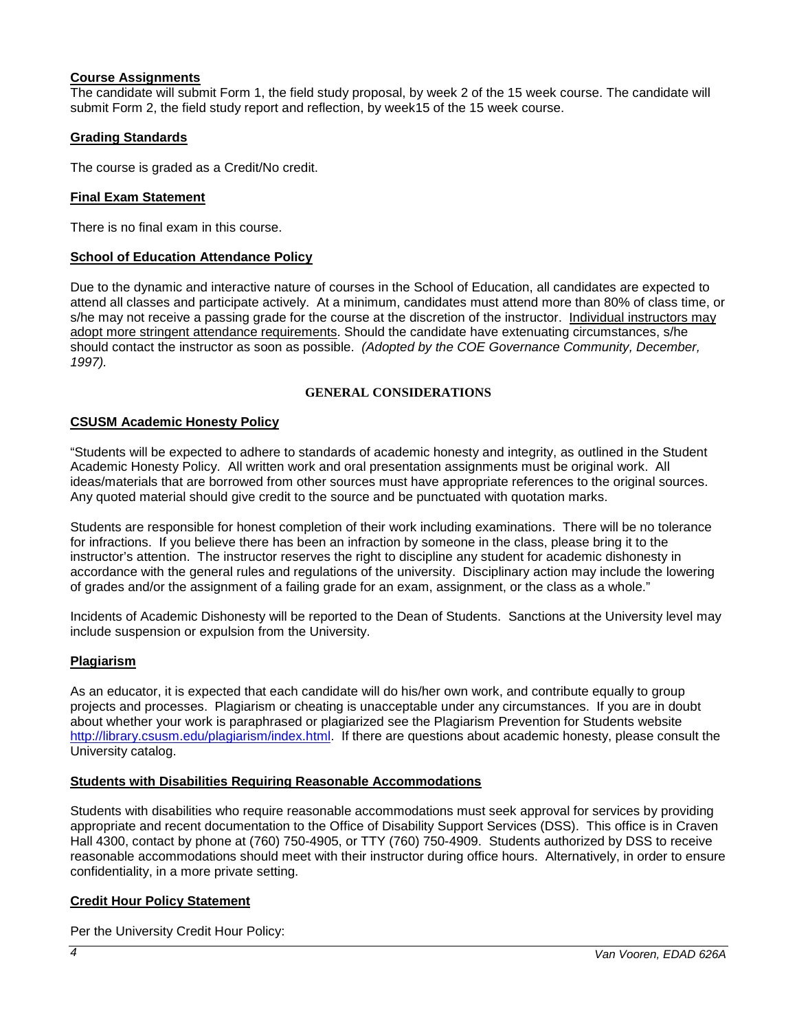# **Course Assignments**

The candidate will submit Form 1, the field study proposal, by week 2 of the 15 week course. The candidate will submit Form 2, the field study report and reflection, by week15 of the 15 week course.

# **Grading Standards**

The course is graded as a Credit/No credit.

# **Final Exam Statement**

There is no final exam in this course.

#### **School of Education Attendance Policy**

Due to the dynamic and interactive nature of courses in the School of Education, all candidates are expected to attend all classes and participate actively. At a minimum, candidates must attend more than 80% of class time, or s/he may not receive a passing grade for the course at the discretion of the instructor. Individual instructors may adopt more stringent attendance requirements. Should the candidate have extenuating circumstances, s/he should contact the instructor as soon as possible. *(Adopted by the COE Governance Community, December, 1997).*

#### **GENERAL CONSIDERATIONS**

#### **CSUSM Academic Honesty Policy**

"Students will be expected to adhere to standards of academic honesty and integrity, as outlined in the Student Academic Honesty Policy. All written work and oral presentation assignments must be original work. All ideas/materials that are borrowed from other sources must have appropriate references to the original sources. Any quoted material should give credit to the source and be punctuated with quotation marks.

Students are responsible for honest completion of their work including examinations. There will be no tolerance for infractions. If you believe there has been an infraction by someone in the class, please bring it to the instructor's attention. The instructor reserves the right to discipline any student for academic dishonesty in accordance with the general rules and regulations of the university. Disciplinary action may include the lowering of grades and/or the assignment of a failing grade for an exam, assignment, or the class as a whole."

Incidents of Academic Dishonesty will be reported to the Dean of Students. Sanctions at the University level may include suspension or expulsion from the University.

#### **Plagiarism**

As an educator, it is expected that each candidate will do his/her own work, and contribute equally to group projects and processes. Plagiarism or cheating is unacceptable under any circumstances. If you are in doubt about whether your work is paraphrased or plagiarized see the Plagiarism Prevention for Students website [http://library.csusm.edu/plagiarism/index.html.](http://library.csusm.edu/plagiarism/index.html) If there are questions about academic honesty, please consult the University catalog.

#### **Students with Disabilities Requiring Reasonable Accommodations**

Students with disabilities who require reasonable accommodations must seek approval for services by providing appropriate and recent documentation to the Office of Disability Support Services (DSS). This office is in Craven Hall 4300, contact by phone at (760) 750-4905, or TTY (760) 750-4909. Students authorized by DSS to receive reasonable accommodations should meet with their instructor during office hours. Alternatively, in order to ensure confidentiality, in a more private setting.

#### **Credit Hour Policy Statement**

Per the University Credit Hour Policy: